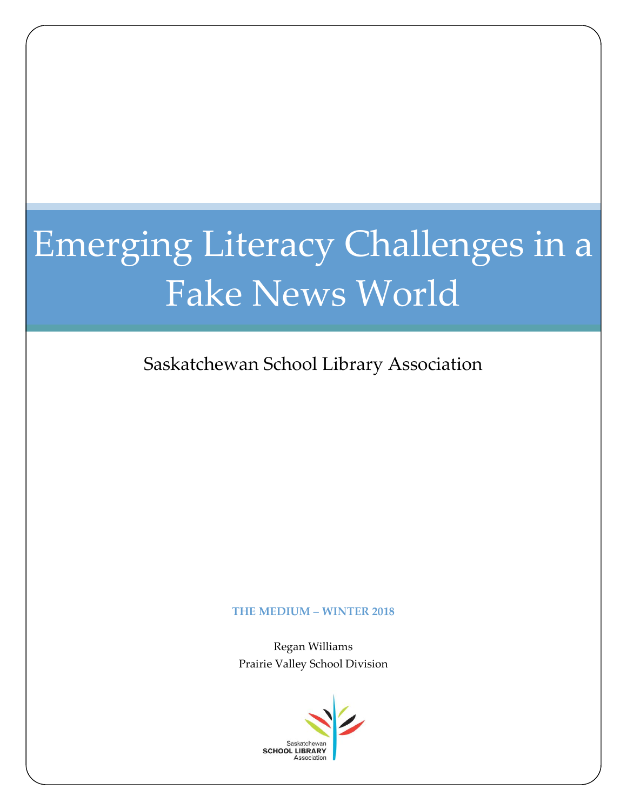# Emerging Literacy Challenges in a Fake News World

Saskatchewan School Library Association

#### **THE MEDIUM – WINTER 2018**

Regan Williams Prairie Valley School Division

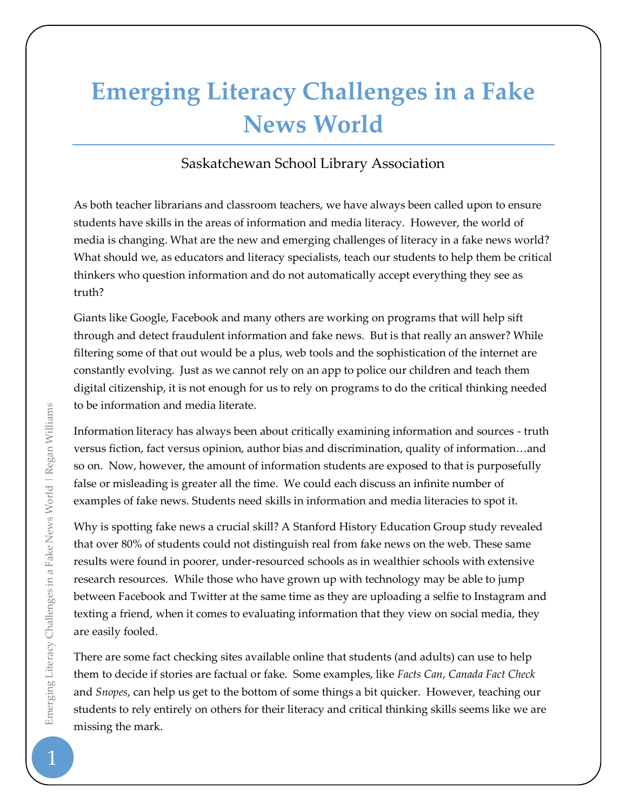# **Emerging Literacy Challenges in a Fake News World**

# Saskatchewan School Library Association

As both teacher librarians and classroom teachers, we have always been called upon to ensure students have skills in the areas of information and media literacy. However, the world of media is changing. What are the new and emerging challenges of literacy in a fake news world? What should we, as educators and literacy specialists, teach our students to help them be critical thinkers who question information and do not automatically accept everything they see as truth?

Giants like Google, Facebook and many others are working on programs that will help sift through and detect fraudulent information and fake news. But is that really an answer? While filtering some of that out would be a plus, web tools and the sophistication of the internet are constantly evolving. Just as we cannot rely on an app to police our children and teach them digital citizenship, it is not enough for us to rely on programs to do the critical thinking needed to be information and media literate.

Information literacy has always been about critically examining information and sources - truth versus fiction, fact versus opinion, author bias and discrimination, quality of information…and so on. Now, however, the amount of information students are exposed to that is purposefully false or misleading is greater all the time. We could each discuss an infinite number of examples of fake news. Students need skills in information and media literacies to spot it.

Why is spotting fake news a crucial skill? A Stanford History Education Group study revealed that over 80% of students could not distinguish real from fake news on the web. These same results were found in poorer, under-resourced schools as in wealthier schools with extensive research resources. While those who have grown up with technology may be able to jump between Facebook and Twitter at the same time as they are uploading a selfie to Instagram and texting a friend, when it comes to evaluating information that they view on social media, they are easily fooled.

There are some fact checking sites available online that students (and adults) can use to help them to decide if stories are factual or fake. Some examples, like *Facts Can*, *Canada Fact Check* and *Snopes*, can help us get to the bottom of some things a bit quicker. However, teaching our students to rely entirely on others for their literacy and critical thinking skills seems like we are missing the mark.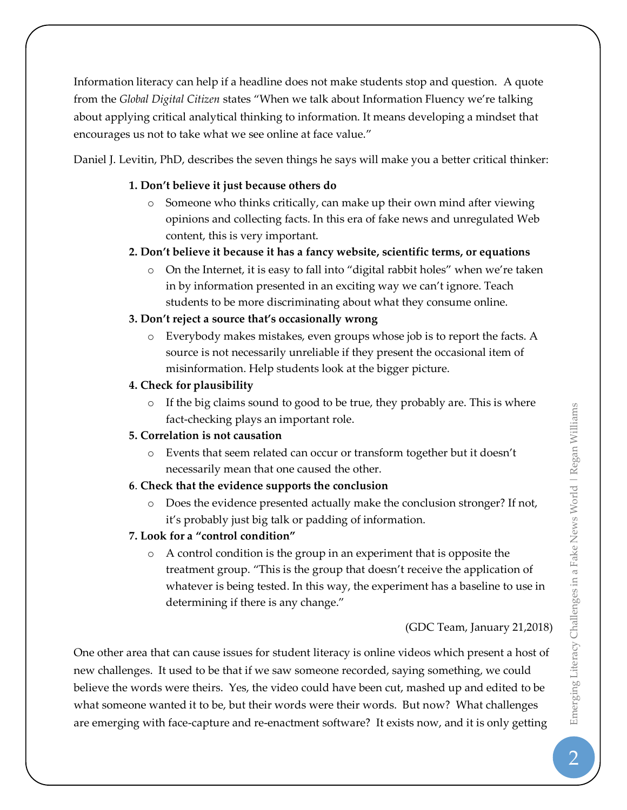Information literacy can help if a headline does not make students stop and question. A quote from the *Global Digital Citizen* states "When we talk about Information Fluency we're talking about applying critical analytical thinking to information. It means developing a mindset that encourages us not to take what we see online at face value."

Daniel J. Levitin, PhD, describes the seven things he says will make you a better critical thinker:

#### **1. Don't believe it just because others do**

- $\circ$  Someone who thinks critically, can make up their own mind after viewing opinions and collecting facts. In this era of fake news and unregulated Web content, this is very important.
- **2. Don't believe it because it has a fancy website, scientific terms, or equations**
	- o On the Internet, it is easy to fall into "digital rabbit holes" when we're taken in by information presented in an exciting way we can't ignore. Teach students to be more discriminating about what they consume online.

# **3. Don't reject a source that's occasionally wrong**

o Everybody makes mistakes, even groups whose job is to report the facts. A source is not necessarily unreliable if they present the occasional item of misinformation. Help students look at the bigger picture.

#### **4. Check for plausibility**

 $\circ$  If the big claims sound to good to be true, they probably are. This is where fact-checking plays an important role.

# **5. Correlation is not causation**

o Events that seem related can occur or transform together but it doesn't necessarily mean that one caused the other.

#### **6**. **Check that the evidence supports the conclusion**

o Does the evidence presented actually make the conclusion stronger? If not, it's probably just big talk or padding of information.

#### **7. Look for a "control condition"**

o A control condition is the group in an experiment that is opposite the treatment group. "This is the group that doesn't receive the application of whatever is being tested. In this way, the experiment has a baseline to use in determining if there is any change."

(GDC Team, January 21,2018)

One other area that can cause issues for student literacy is online videos which present a host of new challenges. It used to be that if we saw someone recorded, saying something, we could believe the words were theirs. Yes, the video could have been cut, mashed up and edited to be what someone wanted it to be, but their words were their words. But now? What challenges are emerging with face-capture and re-enactment software? It exists now, and it is only getting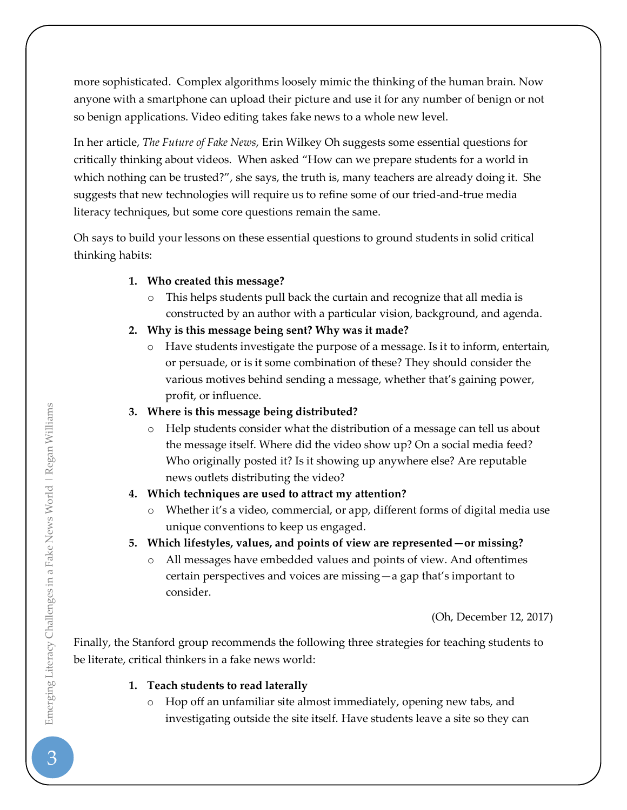more sophisticated. Complex algorithms loosely mimic the thinking of the human brain. Now anyone with a smartphone can upload their picture and use it for any number of benign or not so benign applications. Video editing takes fake news to a whole new level.

In her article, *The Future of Fake News*, Erin Wilkey Oh suggests some essential questions for critically thinking about videos. When asked "How can we prepare students for a world in which nothing can be trusted?", she says, the truth is, many teachers are already doing it. She suggests that new technologies will require us to refine some of our tried-and-true media literacy techniques, but some core questions remain the same.

Oh says to build your lessons on these essential questions to ground students in solid critical thinking habits:

# **1. Who created this message?**

o This helps students pull back the curtain and recognize that all media is constructed by an author with a particular vision, background, and agenda.

# **2. Why is this message being sent? Why was it made?**

o Have students investigate the purpose of a message. Is it to inform, entertain, or persuade, or is it some combination of these? They should consider the various motives behind sending a message, whether that's gaining power, profit, or influence.

# **3. Where is this message being distributed?**

o Help students consider what the distribution of a message can tell us about the message itself. Where did the video show up? On a social media feed? Who originally posted it? Is it showing up anywhere else? Are reputable news outlets distributing the video?

# **4. Which techniques are used to attract my attention?**

- o Whether it's a video, commercial, or app, different forms of digital media use unique conventions to keep us engaged.
- **5. Which lifestyles, values, and points of view are represented—or missing?**
	- o All messages have embedded values and points of view. And oftentimes certain perspectives and voices are missing—a gap that's important to consider.

(Oh, December 12, 2017)

Finally, the Stanford group recommends the following three strategies for teaching students to be literate, critical thinkers in a fake news world:

# **1. Teach students to read laterally**

o Hop off an unfamiliar site almost immediately, opening new tabs, and investigating outside the site itself. Have students leave a site so they can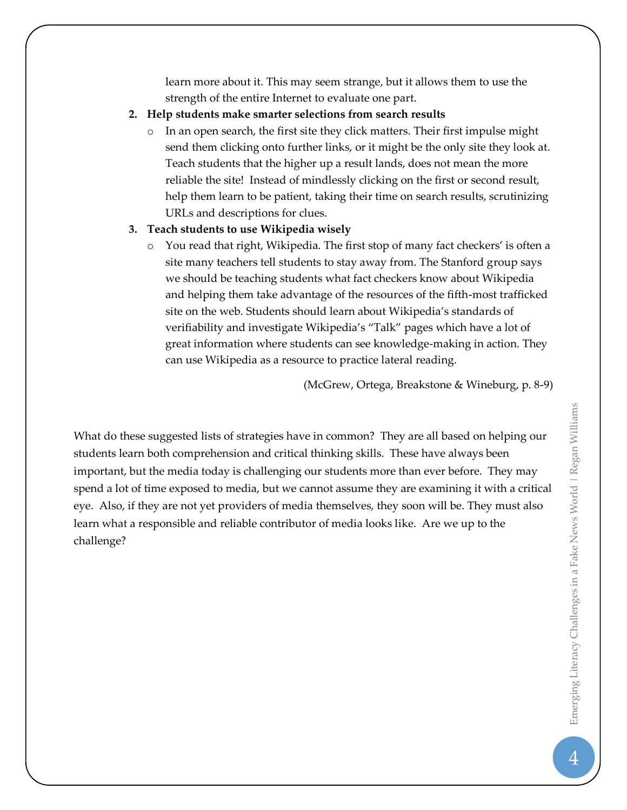learn more about it. This may seem strange, but it allows them to use the strength of the entire Internet to evaluate one part.

- **2. Help students make smarter selections from search results**
	- $\circ$  In an open search, the first site they click matters. Their first impulse might send them clicking onto further links, or it might be the only site they look at. Teach students that the higher up a result lands, does not mean the more reliable the site! Instead of mindlessly clicking on the first or second result, help them learn to be patient, taking their time on search results, scrutinizing URLs and descriptions for clues.

# **3. Teach students to use Wikipedia wisely**

You read that right, Wikipedia. The first stop of many fact checkers' is often a site many teachers tell students to stay away from. The Stanford group says we should be teaching students what fact checkers know about Wikipedia and helping them take advantage of the resources of the fifth-most trafficked site on the web. Students should learn about Wikipedia's standards of verifiability and investigate Wikipedia's "Talk" pages which have a lot of great information where students can see knowledge-making in action. They can use Wikipedia as a resource to practice lateral reading.

(McGrew, Ortega, Breakstone & Wineburg, p. 8-9)

What do these suggested lists of strategies have in common? They are all based on helping our students learn both comprehension and critical thinking skills. These have always been important, but the media today is challenging our students more than ever before. They may spend a lot of time exposed to media, but we cannot assume they are examining it with a critical eye. Also, if they are not yet providers of media themselves, they soon will be. They must also learn what a responsible and reliable contributor of media looks like. Are we up to the challenge?